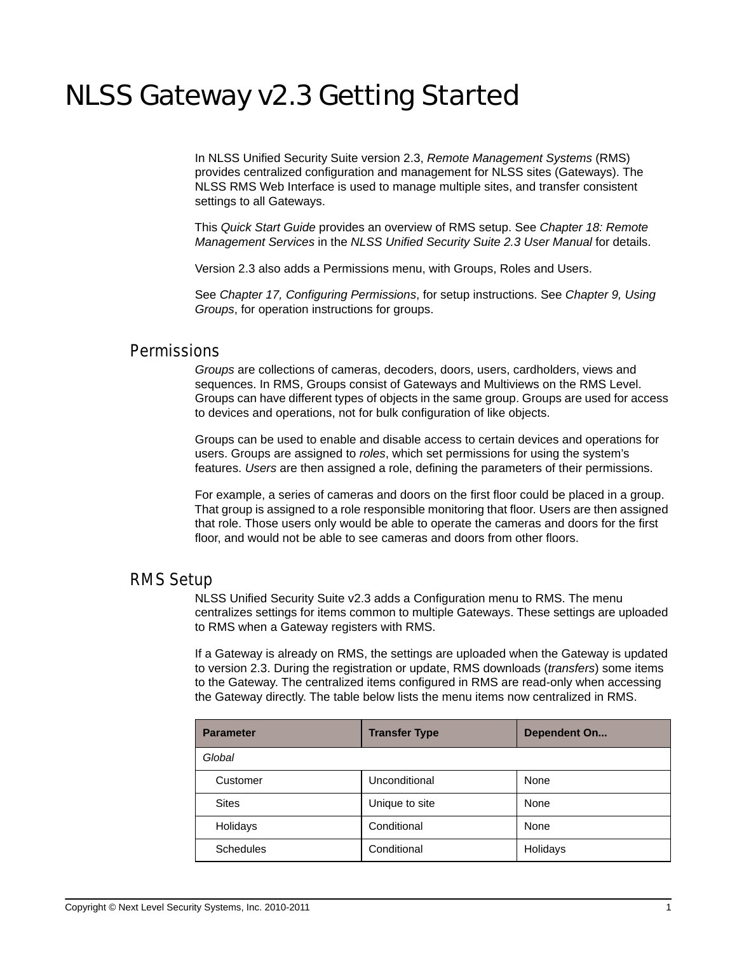# NLSS Gateway v2.3 Getting Started

In NLSS Unified Security Suite version 2.3, *Remote Management Systems* (RMS) provides centralized configuration and management for NLSS sites (Gateways). The NLSS RMS Web Interface is used to manage multiple sites, and transfer consistent settings to all Gateways.

This *Quick Start Guide* provides an overview of RMS setup. See *Chapter 18: Remote Management Services* in the *NLSS Unified Security Suite 2.3 User Manual* for details.

Version 2.3 also adds a Permissions menu, with Groups, Roles and Users.

See *Chapter 17, Configuring Permissions*, for setup instructions. See *Chapter 9, Using Groups*, for operation instructions for groups.

### **Permissions**

*Groups* are collections of cameras, decoders, doors, users, cardholders, views and sequences. In RMS, Groups consist of Gateways and Multiviews on the RMS Level. Groups can have different types of objects in the same group. Groups are used for access to devices and operations, not for bulk configuration of like objects.

Groups can be used to enable and disable access to certain devices and operations for users. Groups are assigned to *roles*, which set permissions for using the system's features. *Users* are then assigned a role, defining the parameters of their permissions.

For example, a series of cameras and doors on the first floor could be placed in a group. That group is assigned to a role responsible monitoring that floor. Users are then assigned that role. Those users only would be able to operate the cameras and doors for the first floor, and would not be able to see cameras and doors from other floors.

### RMS Setup

NLSS Unified Security Suite v2.3 adds a Configuration menu to RMS. The menu centralizes settings for items common to multiple Gateways. These settings are uploaded to RMS when a Gateway registers with RMS.

If a Gateway is already on RMS, the settings are uploaded when the Gateway is updated to version 2.3. During the registration or update, RMS downloads (*transfers*) some items to the Gateway. The centralized items configured in RMS are read-only when accessing the Gateway directly. The table below lists the menu items now centralized in RMS.

| <b>Parameter</b> | <b>Transfer Type</b> | <b>Dependent On</b> |
|------------------|----------------------|---------------------|
| Global           |                      |                     |
| Customer         | Unconditional        | None                |
| <b>Sites</b>     | Unique to site       | None                |
| Holidays         | Conditional          | None                |
| <b>Schedules</b> | Conditional          | Holidays            |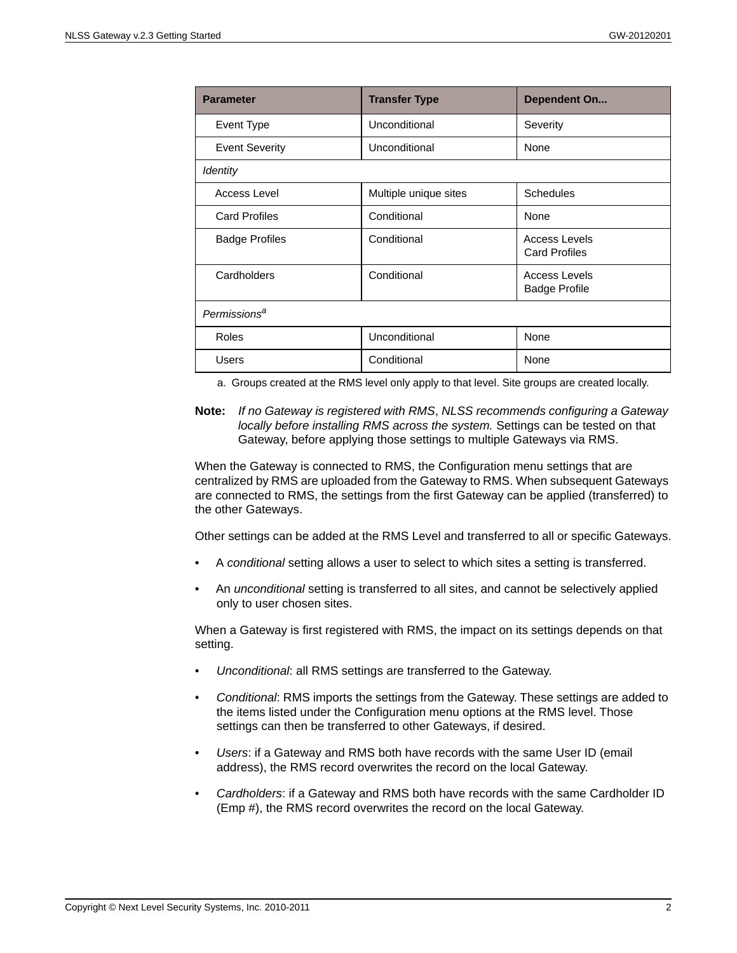| <b>Parameter</b>         | <b>Transfer Type</b>  | Dependent On                                 |  |
|--------------------------|-----------------------|----------------------------------------------|--|
| Event Type               | Unconditional         | Severity                                     |  |
| <b>Event Severity</b>    | Unconditional         | None                                         |  |
| Identity                 |                       |                                              |  |
| Access Level             | Multiple unique sites | <b>Schedules</b>                             |  |
| <b>Card Profiles</b>     | Conditional           | None                                         |  |
| <b>Badge Profiles</b>    | Conditional           | Access Levels<br><b>Card Profiles</b>        |  |
| Cardholders              | Conditional           | <b>Access Levels</b><br><b>Badge Profile</b> |  |
| Permissions <sup>a</sup> |                       |                                              |  |
| Roles                    | Unconditional         | None                                         |  |
| <b>Users</b>             | Conditional           | None                                         |  |

a. Groups created at the RMS level only apply to that level. Site groups are created locally.

**Note:** *If no Gateway is registered with RMS*, *NLSS recommends configuring a Gateway locally before installing RMS across the system.* Settings can be tested on that Gateway, before applying those settings to multiple Gateways via RMS.

When the Gateway is connected to RMS, the Configuration menu settings that are centralized by RMS are uploaded from the Gateway to RMS. When subsequent Gateways are connected to RMS, the settings from the first Gateway can be applied (transferred) to the other Gateways.

Other settings can be added at the RMS Level and transferred to all or specific Gateways.

- A *conditional* setting allows a user to select to which sites a setting is transferred.
- An *unconditional* setting is transferred to all sites, and cannot be selectively applied only to user chosen sites.

When a Gateway is first registered with RMS, the impact on its settings depends on that setting.

- *Unconditional*: all RMS settings are transferred to the Gateway.
- *Conditional*: RMS imports the settings from the Gateway. These settings are added to the items listed under the Configuration menu options at the RMS level. Those settings can then be transferred to other Gateways, if desired.
- *Users*: if a Gateway and RMS both have records with the same User ID (email address), the RMS record overwrites the record on the local Gateway.
- *Cardholders*: if a Gateway and RMS both have records with the same Cardholder ID (Emp #), the RMS record overwrites the record on the local Gateway.